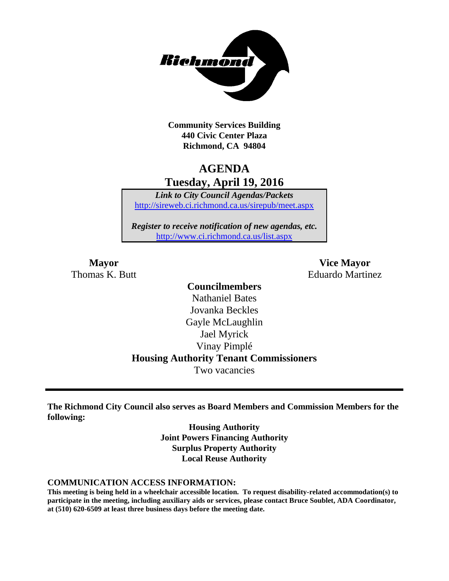

**Community Services Building 440 Civic Center Plaza Richmond, CA 94804**

# **AGENDA Tuesday, April 19, 2016**

*Link to City Council Agendas/Packets* <http://sireweb.ci.richmond.ca.us/sirepub/meet.aspx>

*Register to receive notification of new agendas, etc.* <http://www.ci.richmond.ca.us/list.aspx>

**Mayor Vice Mayor** Thomas K. Butt **Eduardo Martinez** 

### **Councilmembers** Nathaniel Bates Jovanka Beckles Gayle McLaughlin Jael Myrick Vinay Pimplé **Housing Authority Tenant Commissioners** Two vacancies

**The Richmond City Council also serves as Board Members and Commission Members for the following:**

> **Housing Authority Joint Powers Financing Authority Surplus Property Authority Local Reuse Authority**

#### **COMMUNICATION ACCESS INFORMATION:**

**This meeting is being held in a wheelchair accessible location. To request disability-related accommodation(s) to participate in the meeting, including auxiliary aids or services, please contact Bruce Soublet, ADA Coordinator, at (510) 620-6509 at least three business days before the meeting date.**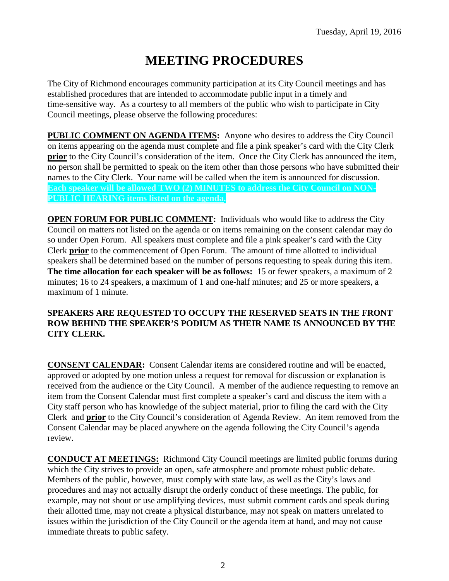# **MEETING PROCEDURES**

The City of Richmond encourages community participation at its City Council meetings and has established procedures that are intended to accommodate public input in a timely and time-sensitive way. As a courtesy to all members of the public who wish to participate in City Council meetings, please observe the following procedures:

**PUBLIC COMMENT ON AGENDA ITEMS:** Anyone who desires to address the City Council on items appearing on the agenda must complete and file a pink speaker's card with the City Clerk **prior** to the City Council's consideration of the item. Once the City Clerk has announced the item, no person shall be permitted to speak on the item other than those persons who have submitted their names to the City Clerk. Your name will be called when the item is announced for discussion. **Each speaker will be allowed TWO (2) MINUTES to address the City Council on NON-PUBLIC HEARING items listed on the agenda.**

**OPEN FORUM FOR PUBLIC COMMENT:** Individuals who would like to address the City Council on matters not listed on the agenda or on items remaining on the consent calendar may do so under Open Forum. All speakers must complete and file a pink speaker's card with the City Clerk **prior** to the commencement of Open Forum. The amount of time allotted to individual speakers shall be determined based on the number of persons requesting to speak during this item. **The time allocation for each speaker will be as follows:** 15 or fewer speakers, a maximum of 2 minutes; 16 to 24 speakers, a maximum of 1 and one-half minutes; and 25 or more speakers, a maximum of 1 minute.

#### **SPEAKERS ARE REQUESTED TO OCCUPY THE RESERVED SEATS IN THE FRONT ROW BEHIND THE SPEAKER'S PODIUM AS THEIR NAME IS ANNOUNCED BY THE CITY CLERK.**

**CONSENT CALENDAR:** Consent Calendar items are considered routine and will be enacted, approved or adopted by one motion unless a request for removal for discussion or explanation is received from the audience or the City Council. A member of the audience requesting to remove an item from the Consent Calendar must first complete a speaker's card and discuss the item with a City staff person who has knowledge of the subject material, prior to filing the card with the City Clerk and **prior** to the City Council's consideration of Agenda Review. An item removed from the Consent Calendar may be placed anywhere on the agenda following the City Council's agenda review.

**CONDUCT AT MEETINGS:** Richmond City Council meetings are limited public forums during which the City strives to provide an open, safe atmosphere and promote robust public debate. Members of the public, however, must comply with state law, as well as the City's laws and procedures and may not actually disrupt the orderly conduct of these meetings. The public, for example, may not shout or use amplifying devices, must submit comment cards and speak during their allotted time, may not create a physical disturbance, may not speak on matters unrelated to issues within the jurisdiction of the City Council or the agenda item at hand, and may not cause immediate threats to public safety.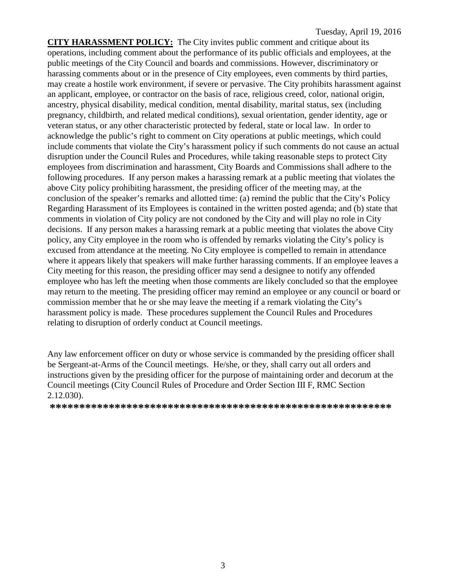**CITY HARASSMENT POLICY:** The City invites public comment and critique about its operations, including comment about the performance of its public officials and employees, at the public meetings of the City Council and boards and commissions. However, discriminatory or harassing comments about or in the presence of City employees, even comments by third parties, may create a hostile work environment, if severe or pervasive. The City prohibits harassment against an applicant, employee, or contractor on the basis of race, religious creed, color, national origin, ancestry, physical disability, medical condition, mental disability, marital status, sex (including pregnancy, childbirth, and related medical conditions), sexual orientation, gender identity, age or veteran status, or any other characteristic protected by federal, state or local law. In order to acknowledge the public's right to comment on City operations at public meetings, which could include comments that violate the City's harassment policy if such comments do not cause an actual disruption under the Council Rules and Procedures, while taking reasonable steps to protect City employees from discrimination and harassment, City Boards and Commissions shall adhere to the following procedures. If any person makes a harassing remark at a public meeting that violates the above City policy prohibiting harassment, the presiding officer of the meeting may, at the conclusion of the speaker's remarks and allotted time: (a) remind the public that the City's Policy Regarding Harassment of its Employees is contained in the written posted agenda; and (b) state that comments in violation of City policy are not condoned by the City and will play no role in City decisions. If any person makes a harassing remark at a public meeting that violates the above City policy, any City employee in the room who is offended by remarks violating the City's policy is excused from attendance at the meeting. No City employee is compelled to remain in attendance where it appears likely that speakers will make further harassing comments. If an employee leaves a City meeting for this reason, the presiding officer may send a designee to notify any offended employee who has left the meeting when those comments are likely concluded so that the employee may return to the meeting. The presiding officer may remind an employee or any council or board or commission member that he or she may leave the meeting if a remark violating the City's harassment policy is made. These procedures supplement the Council Rules and Procedures relating to disruption of orderly conduct at Council meetings.

Any law enforcement officer on duty or whose service is commanded by the presiding officer shall be Sergeant-at-Arms of the Council meetings. He/she, or they, shall carry out all orders and instructions given by the presiding officer for the purpose of maintaining order and decorum at the Council meetings (City Council Rules of Procedure and Order Section III F, RMC Section 2.12.030).

**\*\*\*\*\*\*\*\*\*\*\*\*\*\*\*\*\*\*\*\*\*\*\*\*\*\*\*\*\*\*\*\*\*\*\*\*\*\*\*\*\*\*\*\*\*\*\*\*\*\*\*\*\*\*\*\*\*\***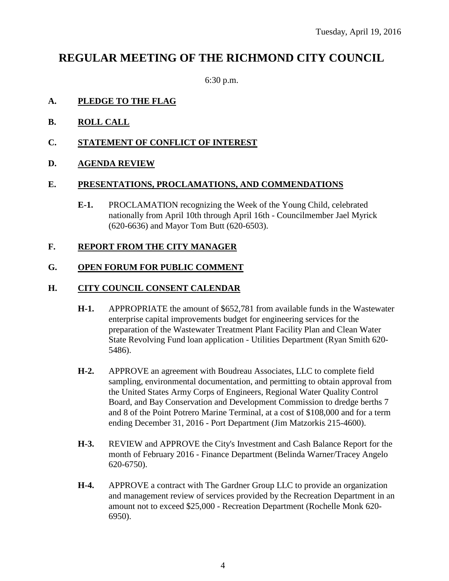# **REGULAR MEETING OF THE RICHMOND CITY COUNCIL**

6:30 p.m.

#### **A. PLEDGE TO THE FLAG**

- **B. ROLL CALL**
- **C. STATEMENT OF CONFLICT OF INTEREST**
- **D. AGENDA REVIEW**

#### **E. PRESENTATIONS, PROCLAMATIONS, AND COMMENDATIONS**

**E-1.** PROCLAMATION recognizing the Week of the Young Child, celebrated nationally from April 10th through April 16th - Councilmember Jael Myrick (620-6636) and Mayor Tom Butt (620-6503).

#### **F. REPORT FROM THE CITY MANAGER**

#### **G. OPEN FORUM FOR PUBLIC COMMENT**

#### **H. CITY COUNCIL CONSENT CALENDAR**

- **H-1.** APPROPRIATE the amount of \$652,781 from available funds in the Wastewater enterprise capital improvements budget for engineering services for the preparation of the Wastewater Treatment Plant Facility Plan and Clean Water State Revolving Fund loan application - Utilities Department (Ryan Smith 620- 5486).
- **H-2.** APPROVE an agreement with Boudreau Associates, LLC to complete field sampling, environmental documentation, and permitting to obtain approval from the United States Army Corps of Engineers, Regional Water Quality Control Board, and Bay Conservation and Development Commission to dredge berths 7 and 8 of the Point Potrero Marine Terminal, at a cost of \$108,000 and for a term ending December 31, 2016 - Port Department (Jim Matzorkis 215-4600).
- **H-3.** REVIEW and APPROVE the City's Investment and Cash Balance Report for the month of February 2016 - Finance Department (Belinda Warner/Tracey Angelo 620-6750).
- **H-4.** APPROVE a contract with The Gardner Group LLC to provide an organization and management review of services provided by the Recreation Department in an amount not to exceed \$25,000 - Recreation Department (Rochelle Monk 620- 6950).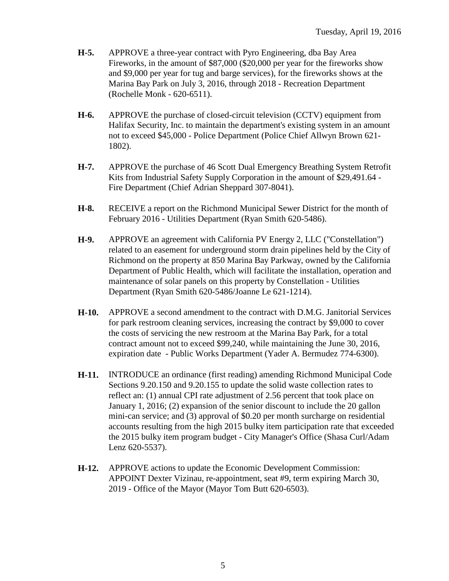- **H-5.** APPROVE a three-year contract with Pyro Engineering, dba Bay Area Fireworks, in the amount of \$87,000 (\$20,000 per year for the fireworks show and \$9,000 per year for tug and barge services), for the fireworks shows at the Marina Bay Park on July 3, 2016, through 2018 - Recreation Department (Rochelle Monk - 620-6511).
- **H-6.** APPROVE the purchase of closed-circuit television (CCTV) equipment from Halifax Security, Inc. to maintain the department's existing system in an amount not to exceed \$45,000 - Police Department (Police Chief Allwyn Brown 621- 1802).
- **H-7.** APPROVE the purchase of 46 Scott Dual Emergency Breathing System Retrofit Kits from Industrial Safety Supply Corporation in the amount of \$29,491.64 - Fire Department (Chief Adrian Sheppard 307-8041).
- **H-8.** RECEIVE a report on the Richmond Municipal Sewer District for the month of February 2016 - Utilities Department (Ryan Smith 620-5486).
- **H-9.** APPROVE an agreement with California PV Energy 2, LLC ("Constellation") related to an easement for underground storm drain pipelines held by the City of Richmond on the property at 850 Marina Bay Parkway, owned by the California Department of Public Health, which will facilitate the installation, operation and maintenance of solar panels on this property by Constellation - Utilities Department (Ryan Smith 620-5486/Joanne Le 621-1214).
- **H-10.** APPROVE a second amendment to the contract with D.M.G. Janitorial Services for park restroom cleaning services, increasing the contract by \$9,000 to cover the costs of servicing the new restroom at the Marina Bay Park, for a total contract amount not to exceed \$99,240, while maintaining the June 30, 2016, expiration date - Public Works Department (Yader A. Bermudez 774-6300).
- **H-11.** INTRODUCE an ordinance (first reading) amending Richmond Municipal Code Sections 9.20.150 and 9.20.155 to update the solid waste collection rates to reflect an: (1) annual CPI rate adjustment of 2.56 percent that took place on January 1, 2016; (2) expansion of the senior discount to include the 20 gallon mini-can service; and (3) approval of \$0.20 per month surcharge on residential accounts resulting from the high 2015 bulky item participation rate that exceeded the 2015 bulky item program budget - City Manager's Office (Shasa Curl/Adam Lenz 620-5537).
- **H-12.** APPROVE actions to update the Economic Development Commission: APPOINT Dexter Vizinau, re-appointment, seat #9, term expiring March 30, 2019 - Office of the Mayor (Mayor Tom Butt 620-6503).